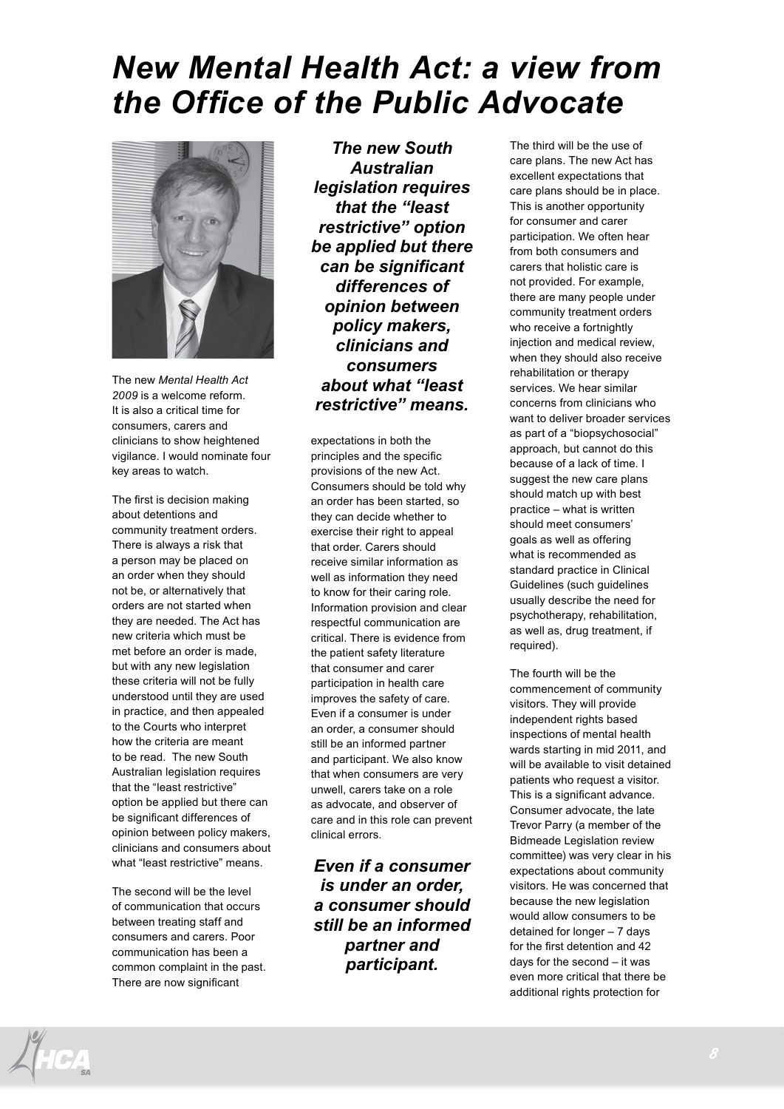## *New Mental Health Act: a view from the Office of the Public Advocate*



The new *Mental Health Act 2009* is a welcome reform. It is also a critical time for consumers, carers and clinicians to show heightened vigilance. I would nominate four key areas to watch.

The first is decision making about detentions and community treatment orders. There is always a risk that a person may be placed on an order when they should not be, or alternatively that orders are not started when they are needed. The Act has new criteria which must be met before an order is made, but with any new legislation these criteria will not be fully understood until they are used in practice, and then appealed to the Courts who interpret how the criteria are meant to be read. The new South Australian legislation requires that the "least restrictive" option be applied but there can be significant differences of opinion between policy makers, clinicians and consumers about what "least restrictive" means.

The second will be the level of communication that occurs between treating staff and consumers and carers. Poor communication has been a common complaint in the past. There are now significant

*The new South Australian legislation requires that the "least restrictive" option be applied but there can be significant differences of opinion between policy makers, clinicians and consumers about what "least restrictive" means.*

expectations in both the principles and the specific provisions of the new Act. Consumers should be told why an order has been started, so they can decide whether to exercise their right to appeal that order. Carers should receive similar information as well as information they need to know for their caring role. Information provision and clear respectful communication are critical. There is evidence from the patient safety literature that consumer and carer participation in health care improves the safety of care. Even if a consumer is under an order, a consumer should still be an informed partner and participant. We also know that when consumers are very unwell, carers take on a role as advocate, and observer of care and in this role can prevent clinical errors.

*Even if a consumer is under an order, a consumer should still be an informed partner and participant.*

The third will be the use of care plans. The new Act has excellent expectations that care plans should be in place. This is another opportunity for consumer and carer participation. We often hear from both consumers and carers that holistic care is not provided. For example, there are many people under community treatment orders who receive a fortnightly injection and medical review, when they should also receive rehabilitation or therapy services. We hear similar concerns from clinicians who want to deliver broader services as part of a "biopsychosocial" approach, but cannot do this because of a lack of time. I suggest the new care plans should match up with best practice – what is written should meet consumers' goals as well as offering what is recommended as standard practice in Clinical Guidelines (such guidelines usually describe the need for psychotherapy, rehabilitation, as well as, drug treatment, if required).

The fourth will be the commencement of community visitors. They will provide independent rights based inspections of mental health wards starting in mid 2011, and will be available to visit detained patients who request a visitor. This is a significant advance. Consumer advocate, the late Trevor Parry (a member of the Bidmeade Legislation review committee) was very clear in his expectations about community visitors. He was concerned that because the new legislation would allow consumers to be detained for longer – 7 days for the first detention and 42 days for the second – it was even more critical that there be additional rights protection for